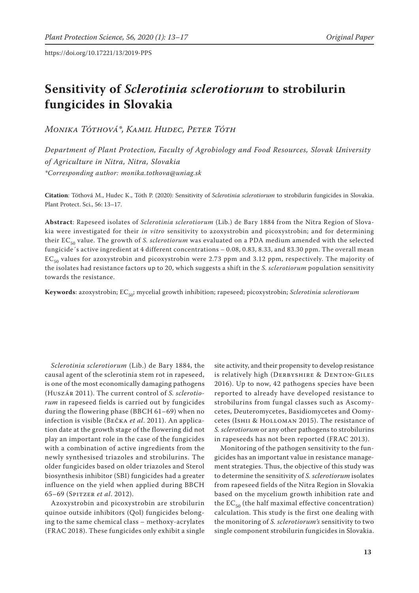# **Sensitivity of** *Sclerotinia sclerotiorum* **to strobilurin fungicides in Slovakia**

*Monika Tóthová\*, Kamil Hudec, Peter Tóth*

*Department of Plant Protection, Faculty of Agrobiology and Food Resources, Slovak University of Agriculture in Nitra, Nitra, Slovakia \*Corresponding author: monika.tothova@uniag.sk*

**Citation**: Tóthová M., Hudec K., Tóth P. (2020): Sensitivity of *Sclerotinia sclerotiorum* to strobilurin fungicides in Slovakia. Plant Protect. Sci., 56: 13–17.

**Abstract**: Rapeseed isolates of *Sclerotinia sclerotiorum* (Lib.) de Bary 1884 from the Nitra Region of Slovakia were investigated for their *in vitro* sensitivity to azoxystrobin and picoxystrobin; and for determining their EC<sub>50</sub> value. The growth of *S. sclerotiorum* was evaluated on a PDA medium amended with the selected fungicide´s active ingredient at 4 different concentrations – 0.08, 0.83, 8.33, and 83.30 ppm. The overall mean  $EC_{50}$  values for azoxystrobin and picoxystrobin were 2.73 ppm and 3.12 ppm, respectively. The majority of the isolates had resistance factors up to 20, which suggests a shift in the *S. sclerotiorum* population sensitivity towards the resistance.

Keywords: azoxystrobin; EC<sub>50</sub>; mycelial growth inhibition; rapeseed; picoxystrobin; *Sclerotinia sclerotiorum* 

*Sclerotinia sclerotiorum* (Lib.) de Bary 1884, the causal agent of the sclerotinia stem rot in rapeseed, is one of the most economically damaging pathogens (Huszár 2011). The current control of *S. sclerotiorum* in rapeseed fields is carried out by fungicides during the flowering phase (BBCH 61–69) when no infection is visible (Bečka *et al*. 2011). An application date at the growth stage of the flowering did not play an important role in the case of the fungicides with a combination of active ingredients from the newly synthesised triazoles and strobilurins. The older fungicides based on older triazoles and Sterol biosynthesis inhibitor (SBI) fungicides had a greater influence on the yield when applied during BBCH 65–69 (Spitzer *et al*. 2012).

Azoxystrobin and picoxystrobin are strobilurin quinoe outside inhibitors (Qol) fungicides belonging to the same chemical class – methoxy-acrylates (FRAC 2018). These fungicides only exhibit a single

site activity, and their propensity to develop resistance is relatively high (DERBYSHIRE & DENTON-GILES 2016). Up to now, 42 pathogens species have been reported to already have developed resistance to strobilurins from fungal classes such as Ascomycetes, Deuteromycetes, Basidiomycetes and Oomycetes (Ishii & Holloman 2015). The resistance of *S. sclerotiorum* or any other pathogens to strobilurins in rapeseeds has not been reported (FRAC 2013).

Monitoring of the pathogen sensitivity to the fungicides has an important value in resistance management strategies. Thus, the objective of this study was to determine the sensitivity of *S. sclerotiorum* isolates from rapeseed fields of the Nitra Region in Slovakia based on the mycelium growth inhibition rate and the  $EC_{50}$  (the half maximal effective concentration) calculation. This study is the first one dealing with the monitoring of *S. sclerotiorum's* sensitivity to two single component strobilurin fungicides in Slovakia.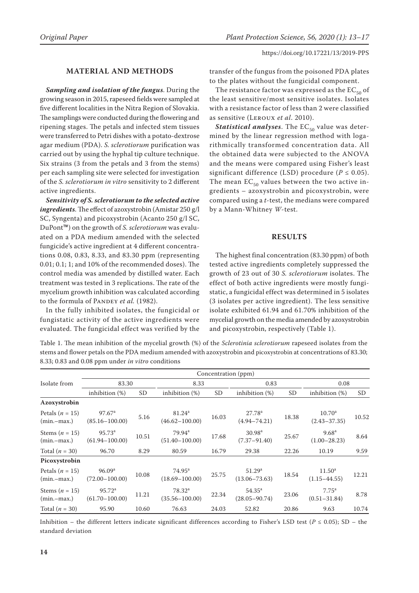# **MATERIAL AND METHODS**

*Sampling and isolation of the fungus*. During the growing season in 2015, rapeseed fields were sampled at five different localities in the Nitra Region of Slovakia. The samplings were conducted during the flowering and ripening stages. The petals and infected stem tissues were transferred to Petri dishes with a potato-dextrose agar medium (PDA). *S. sclerotiorum* purification was carried out by using the hyphal tip culture technique. Six strains (3 from the petals and 3 from the stems) per each sampling site were selected for investigation of the *S. sclerotiorum in vitro* sensitivity to 2 different active ingredients.

*Sensitivity of S. sclerotiorum to the selected active ingredients*. The effect of azoxystrobin (Amistar 250 g/l SC, Syngenta) and picoxystrobin (Acanto 250 g/l SC, DuPont™) on the growth of *S. sclerotiorum* was evaluated on a PDA medium amended with the selected fungicide's active ingredient at 4 different concentrations 0.08, 0.83, 8.33, and 83.30 ppm (representing 0.01; 0.1; 1; and 10% of the recommended doses). The control media was amended by distilled water. Each treatment was tested in 3 replications. The rate of the mycelium growth inhibition was calculated according to the formula of PANDEY et al. (1982).

In the fully inhibited isolates, the fungicidal or fungistatic activity of the active ingredients were evaluated. The fungicidal effect was verified by the transfer of the fungus from the poisoned PDA plates to the plates without the fungicidal component.

The resistance factor was expressed as the  $EC_{50}$  of the least sensitive/most sensitive isolates. Isolates with a resistance factor of less than 2 were classified as sensitive (Leroux *et al*. 2010).

**Statistical analyses**. The  $EC_{50}$  value was determined by the linear regression method with logarithmically transformed concentration data. All the obtained data were subjected to the ANOVA and the means were compared using Fisher's least significant difference (LSD) procedure ( $P \le 0.05$ ). The mean  $EC_{50}$  values between the two active ingredients – azoxystrobin and picoxystrobin, were compared using a *t*-test, the medians were compared by a Mann-Whitney *W*-test.

## **RESULTS**

The highest final concentration (83.30 ppm) of both tested active ingredients completely suppressed the growth of 23 out of 30 *S. sclerotiorum* isolates. The effect of both active ingredients were mostly fungistatic, a fungicidal effect was determined in 5 isolates (3 isolates per active ingredient). The less sensitive isolate exhibited 61.94 and 61.70% inhibition of the mycelial growth on the media amended by azoxystrobin and picoxystrobin, respectively (Table 1).

Table 1. The mean inhibition of the mycelial growth (%) of the *Sclerotinia sclerotiorum* rapeseed isolates from the stems and flower petals on the PDA medium amended with azoxystrobin and picoxystrobin at concentrations of 83.30; 8.33; 0.83 and 0.08 ppm under *in vitro* conditions

|                                     | Concentration (ppm)                      |       |                                          |       |                                         |           |                                        |       |  |  |  |
|-------------------------------------|------------------------------------------|-------|------------------------------------------|-------|-----------------------------------------|-----------|----------------------------------------|-------|--|--|--|
| Isolate from                        | 83.30                                    |       | 8.33                                     |       | 0.83                                    |           | 0.08                                   |       |  |  |  |
|                                     | inhibition $(\%)$                        | SD    | inhibition $(\%)$                        | SD    | inhibition $(\%)$                       | <b>SD</b> | inhibition $(\%)$                      | SD    |  |  |  |
| Azoxystrobin                        |                                          |       |                                          |       |                                         |           |                                        |       |  |  |  |
| Petals $(n = 15)$<br>$(min-max.)$   | 97.67 <sup>a</sup><br>$(85.16 - 100.00)$ | 5.16  | 81.24 <sup>a</sup><br>$(46.62 - 100.00)$ | 16.03 | 27.78 <sup>a</sup><br>$(4.94 - 74.21)$  | 18.38     | 10.70 <sup>a</sup><br>$(2.43 - 37.35)$ | 10.52 |  |  |  |
| Stems ( $n = 15$ )<br>$(min-max.)$  | 95.73 <sup>a</sup><br>$(61.94 - 100.00)$ | 10.51 | $79.94^a$<br>$(51.40 - 100.00)$          | 17.68 | 30.98 <sup>a</sup><br>$(7.37 - 91.40)$  | 25.67     | 9.68 <sup>a</sup><br>$(1.00 - 28.23)$  | 8.64  |  |  |  |
| Total $(n = 30)$                    | 96.70                                    | 8.29  | 80.59                                    | 16.79 | 29.38                                   | 22.26     | 10.19                                  | 9.59  |  |  |  |
| Picoxystrobin                       |                                          |       |                                          |       |                                         |           |                                        |       |  |  |  |
| Petals ( $n = 15$ )<br>$(min-max.)$ | 96.09 <sup>a</sup><br>$(72.00 - 100.00)$ | 10.08 | $74.95^{\text{a}}$<br>$(18.69 - 100.00)$ | 25.75 | 51.29 <sup>a</sup><br>$(13.06 - 73.63)$ | 18.54     | $11.50^{\rm a}$<br>$(1.15 - 44.55)$    | 12.21 |  |  |  |
| Stems $(n = 15)$<br>$(min-max.)$    | 95.72 <sup>a</sup><br>$(61.70 - 100.00)$ | 11.21 | $78.32^a$<br>$(35.56 - 100.00)$          | 22.34 | $54.35^{\circ}$<br>$(28.05 - 90.74)$    | 23.06     | $7.75^{\rm a}$<br>$(0.51 - 31.84)$     | 8.78  |  |  |  |
| Total $(n = 30)$                    | 95.90                                    | 10.60 | 76.63                                    | 24.03 | 52.82                                   | 20.86     | 9.63                                   | 10.74 |  |  |  |

Inhibition – the different letters indicate significant differences according to Fisher's LSD test ( $P \le 0.05$ ); SD – the standard deviation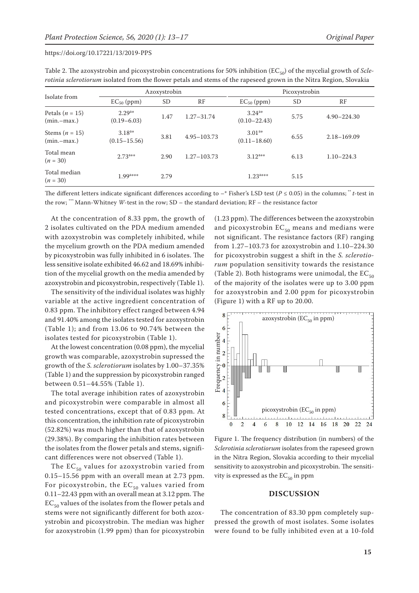https://doi.org/10.17221/13/2019-PPS

 $(n = 30)$  2.73<sup>a\*\*</sup>

 $(n = 30)$  1.99<sup>a\*\*\*</sup>

Total mean

Total median

Stems (*n* = 15) (min.–max.)

| <i>rotinia sclerotiorum</i> isolated from the flower petals and stems of the rapeseed grown in the Nitra Region, Slovakia |                                |              |            |                                 |      |                 |  |  |
|---------------------------------------------------------------------------------------------------------------------------|--------------------------------|--------------|------------|---------------------------------|------|-----------------|--|--|
| Isolate from                                                                                                              |                                | Azoxystrobin |            | Picoxystrobin                   |      |                 |  |  |
|                                                                                                                           | $EC_{50}$ (ppm)                | SD.          | RF         | $EC_{50}$ (ppm)                 | SD.  | RF              |  |  |
| Petals $(n = 15)$<br>$(min-max.)$                                                                                         | $2.29^{a*}$<br>$(0.19 - 6.03)$ | 1.47         | 1.27–31.74 | $3.24^{a*}$<br>$(0.10 - 22.43)$ | 5.75 | $4.90 - 224.30$ |  |  |

 $3.18^{3*}$   $3.81$   $4.95-103.73$   $3.01^{3}$ <br>(0.15-15.56)  $3.81$   $4.95-103.73$   $(0.11-18)$ 

| Table 2. The azoxystrobin and picoxystrobin concentrations for 50% inhibition ( $EC_{50}$ ) of the mycelial growth of <i>Scle</i> - |
|-------------------------------------------------------------------------------------------------------------------------------------|
| rotinia sclerotiorum isolated from the flower petals and stems of the rapeseed grown in the Nitra Region, Slovakia                  |

The different letters indicate significant differences according to  $-*$  Fisher's LSD test ( $P \le 0.05$ ) in the columns; \*\* *t*-test in the row; \*\*\* Mann-Whitney *W*-test in the row; SD – the standard deviation; RF – the resistance factor

\*\*\* 2.79 2.79 2.79

2.90  $1.27-103.73$   $3.12^{3**}$ 

At the concentration of 8.33 ppm, the growth of 2 isolates cultivated on the PDA medium amended with azoxystrobin was completely inhibited, while the mycelium growth on the PDA medium amended by picoxystrobin was fully inhibited in 6 isolates. The less sensitive isolate exhibited 46.62 and 18.69% inhibition of the mycelial growth on the media amended by azoxystrobin and picoxystrobin, respectively (Table 1).

 $3.18^{a*}$ 

The sensitivity of the individual isolates was highly variable at the active ingredient concentration of 0.83 ppm. The inhibitory effect ranged between 4.94 and 91.40% among the isolates tested for azoxystrobin (Table 1); and from 13.06 to 90.74% between the isolates tested for picoxystrobin (Table 1).

At the lowest concentration (0.08 ppm), the mycelial growth was comparable, azoxystrobin supressed the growth of the *S. sclerotiorum* isolates by 1.00–37.35% (Table 1) and the suppression by picoxystrobin ranged between 0.51–44.55% (Table 1).

The total average inhibition rates of azoxystrobin and picoxystrobin were comparable in almost all tested concentrations, except that of 0.83 ppm. At this concentration, the inhibition rate of picoxystrobin (52.82%) was much higher than that of azoxystrobin (29.38%). By comparing the inhibition rates between the isolates from the flower petals and stems, significant differences were not observed (Table 1).

The  $EC_{50}$  values for azoxystrobin varied from 0.15–15.56 ppm with an overall mean at 2.73 ppm. For picoxystrobin, the  $EC_{50}$  values varied from 0.11–22.43 ppm with an overall mean at 3.12 ppm. The  $EC_{50}$  values of the isolates from the flower petals and stems were not significantly different for both azoxystrobin and picoxystrobin. The median was higher for azoxystrobin (1.99 ppm) than for picoxystrobin

(1.23 ppm). The differences between the azoxystrobin and picoxystrobin  $EC_{50}$  means and medians were not significant. The resistance factors (RF) ranging from 1.27–103.73 for azoxystrobin and 1.10–224.30 for picoxystrobin suggest a shift in the *S. sclerotiorum* population sensitivity towards the resistance (Table 2). Both histograms were unimodal, the  $EC_{50}$ of the majority of the isolates were up to 3.00 ppm for azoxystrobin and 2.00 ppm for picoxystrobin (Figure 1) with a RF up to 20.00.

 $(0.11-18.60)$  6.55 2.18-169.09

\*\* 6.13 1.10–224.3

 $3.01^{a*}$ 

 $1.23$ <sup>a\*\*\*</sup> 5.15



Figure 1. The frequency distribution (in numbers) of the *Sclerotinia sclerotiorum* isolates from the rapeseed grown in the Nitra Region, Slovakia according to their mycelial sensitivity to azoxystrobin and picoxystrobin. The sensitivity is expressed as the  $EC_{50}$  in ppm

### **DISCUSSION**

The concentration of 83.30 ppm completely suppressed the growth of most isolates. Some isolates were found to be fully inhibited even at a 10-fold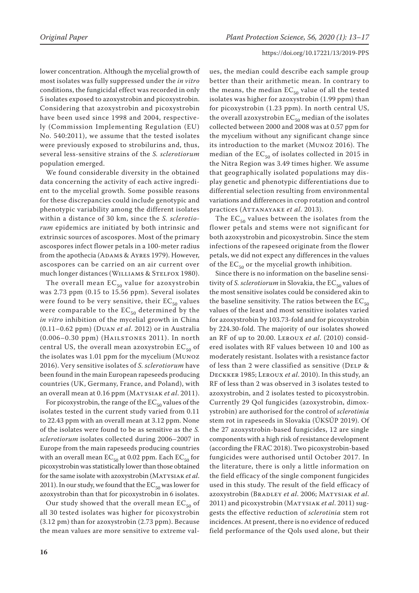#### https://doi.org/10.17221/13/2019-PPS

lower concentration. Although the mycelial growth of most isolates was fully suppressed under the *in vitro* conditions, the fungicidal effect was recorded in only 5 isolates exposed to azoxystrobin and picoxystrobin. Considering that azoxystrobin and picoxystrobin have been used since 1998 and 2004, respectively (Commission Implementing Regulation (EU) No. 540:2011), we assume that the tested isolates were previously exposed to strobilurins and, thus, several less-sensitive strains of the *S. sclerotiorum* population emerged.

We found considerable diversity in the obtained data concerning the activity of each active ingredient to the mycelial growth. Some possible reasons for these discrepancies could include genotypic and phenotypic variability among the different isolates within a distance of 30 km, since the *S. sclerotiorum* epidemics are initiated by both intrinsic and extrinsic sources of ascospores. Most of the primary ascospores infect flower petals in a 100-meter radius from the apothecia (ADAMS & AYRES 1979). However, ascospores can be carried on an air current over much longer distances (WILLIAMS & STELFOX 1980).

The overall mean  $EC_{50}$  value for azoxystrobin was 2.73 ppm (0.15 to 15.56 ppm). Several isolates were found to be very sensitive, their  $EC_{50}$  values were comparable to the  $EC_{50}$  determined by the *in vitro* inhibition of the mycelial growth in China (0.11–0.62 ppm) (Duan *et al*. 2012) or in Australia (0.006–0.30 ppm) (Hailstones 2011). In north central US, the overall mean azoxystrobin  $EC_{50}$  of the isolates was 1.01 ppm for the mycelium (Munoz 2016). Very sensitive isolates of *S. sclerotiorum* have been found in the main European rapeseeds producing countries (UK, Germany, France, and Poland), with an overall mean at 0.16 ppm (MATYSIAK et al. 2011).

For picoxystrobin, the range of the  $EC_{50}$  values of the isolates tested in the current study varied from 0.11 to 22.43 ppm with an overall mean at 3.12 ppm. None of the isolates were found to be as sensitive as the *S. sclerotiorum* isolates collected during 2006–2007 in Europe from the main rapeseeds producing countries with an overall mean  $EC_{50}$  at 0.02 ppm. Each  $EC_{50}$  for picoxystrobin was statistically lower than those obtained for the same isolate with azoxystrobin (Matysiak *et al*. 2011). In our study, we found that the  $EC_{50}$  was lower for azoxystrobin than that for picoxystrobin in 6 isolates.

Our study showed that the overall mean  $EC_{50}$  of all 30 tested isolates was higher for picoxystrobin (3.12 pm) than for azoxystrobin (2.73 ppm). Because the mean values are more sensitive to extreme val-

ues, the median could describe each sample group better than their arithmetic mean. In contrary to the means, the median  $EC_{50}$  value of all the tested isolates was higher for azoxystrobin (1.99 ppm) than for picoxystrobin (1.23 ppm). In north central US, the overall azoxystrobin  $EC_{50}$  median of the isolates collected between 2000 and 2008 was at 0.57 ppm for the mycelium without any significant change since its introduction to the market (Munoz 2016). The median of the  $EC_{50}$  of isolates collected in 2015 in the Nitra Region was 3.49 times higher. We assume that geographically isolated populations may display genetic and phenotypic differentiations due to differential selection resulting from environmental variations and differences in crop rotation and control practices (Attanayake *et al*. 2013).

The  $EC_{50}$  values between the isolates from the flower petals and stems were not significant for both azoxystrobin and picoxystrobin. Since the stem infections of the rapeseed originate from the flower petals, we did not expect any differences in the values of the  $EC_{50}$  or the mycelial growth inhibition.

Since there is no information on the baseline sensitivity of *S. sclerotiorum* in Slovakia, the EC<sub>50</sub> values of the most sensitive isolates could be considered akin to the baseline sensitivity. The ratios between the  $EC_{50}$ values of the least and most sensitive isolates varied for azoxystrobin by 103.73-fold and for picoxystrobin by 224.30-fold. The majority of our isolates showed an RF of up to 20.00. Leroux *et al*. (2010) considered isolates with RF values between 10 and 100 as moderately resistant. Isolates with a resistance factor of less than 2 were classified as sensitive (DELP & Deckker 1985; Leroux *et al*. 2010). In this study, an RF of less than 2 was observed in 3 isolates tested to azoxystrobin, and 2 isolates tested to picoxystrobin. Currently 29 Qol fungicides (azoxystrobin, dimoxystrobin) are authorised for the control of *sclerotinia* stem rot in rapeseeds in Slovakia (ÚKSÚP 2019). Of the 27 azoxystrobin-based fungicides, 12 are single components with a high risk of resistance development (according the FRAC 2018). Two picoxystrobin-based fungicides were authorised until October 2017. In the literature, there is only a little information on the field efficacy of the single component fungicides used in this study. The result of the field efficacy of azoxystrobin (Bradley *et al*. 2006; Matysiak *et al*. 2011) and picoxystrobin (Matysiak *et al*. 2011) suggests the effective reduction of *sclerotinia* stem rot incidences. At present, there is no evidence of reduced field performance of the Qols used alone, but their